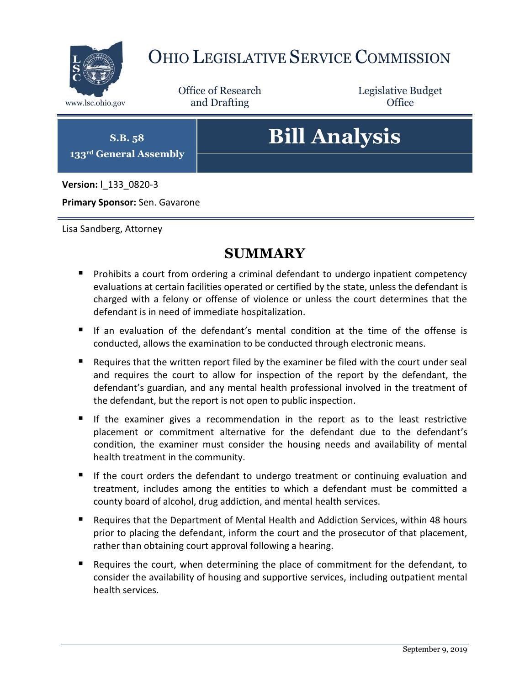

## OHIO LEGISLATIVE SERVICE COMMISSION

Office of Research www.lsc.ohio.gov and Drafting Control of Control of the Control of Control of the Control of Control of the Control of the Control of the Control of the Control of the Control of the Control of the Control of the Control o

Legislative Budget

**S.B. 58 133rd General Assembly**

# **Bill Analysis**

**Version:** l\_133\_0820-3

**Primary Sponsor:** Sen. Gavarone

Lisa Sandberg, Attorney

### **SUMMARY**

- **Prohibits a court from ordering a criminal defendant to undergo inpatient competency** evaluations at certain facilities operated or certified by the state, unless the defendant is charged with a felony or offense of violence or unless the court determines that the defendant is in need of immediate hospitalization.
- If an evaluation of the defendant's mental condition at the time of the offense is conducted, allows the examination to be conducted through electronic means.
- Requires that the written report filed by the examiner be filed with the court under seal and requires the court to allow for inspection of the report by the defendant, the defendant's guardian, and any mental health professional involved in the treatment of the defendant, but the report is not open to public inspection.
- If the examiner gives a recommendation in the report as to the least restrictive placement or commitment alternative for the defendant due to the defendant's condition, the examiner must consider the housing needs and availability of mental health treatment in the community.
- If the court orders the defendant to undergo treatment or continuing evaluation and treatment, includes among the entities to which a defendant must be committed a county board of alcohol, drug addiction, and mental health services.
- Requires that the Department of Mental Health and Addiction Services, within 48 hours prior to placing the defendant, inform the court and the prosecutor of that placement, rather than obtaining court approval following a hearing.
- Requires the court, when determining the place of commitment for the defendant, to consider the availability of housing and supportive services, including outpatient mental health services.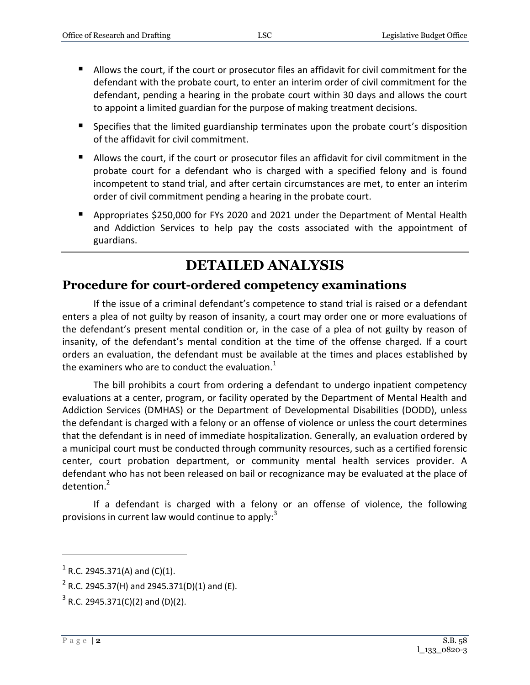- Allows the court, if the court or prosecutor files an affidavit for civil commitment for the defendant with the probate court, to enter an interim order of civil commitment for the defendant, pending a hearing in the probate court within 30 days and allows the court to appoint a limited guardian for the purpose of making treatment decisions.
- **Specifies that the limited guardianship terminates upon the probate court's disposition** of the affidavit for civil commitment.
- Allows the court, if the court or prosecutor files an affidavit for civil commitment in the probate court for a defendant who is charged with a specified felony and is found incompetent to stand trial, and after certain circumstances are met, to enter an interim order of civil commitment pending a hearing in the probate court.
- Appropriates \$250,000 for FYs 2020 and 2021 under the Department of Mental Health and Addiction Services to help pay the costs associated with the appointment of guardians.

## **DETAILED ANALYSIS**

#### **Procedure for court-ordered competency examinations**

If the issue of a criminal defendant's competence to stand trial is raised or a defendant enters a plea of not guilty by reason of insanity, a court may order one or more evaluations of the defendant's present mental condition or, in the case of a plea of not guilty by reason of insanity, of the defendant's mental condition at the time of the offense charged. If a court orders an evaluation, the defendant must be available at the times and places established by the examiners who are to conduct the evaluation. $1$ 

The bill prohibits a court from ordering a defendant to undergo inpatient competency evaluations at a center, program, or facility operated by the Department of Mental Health and Addiction Services (DMHAS) or the Department of Developmental Disabilities (DODD), unless the defendant is charged with a felony or an offense of violence or unless the court determines that the defendant is in need of immediate hospitalization. Generally, an evaluation ordered by a municipal court must be conducted through community resources, such as a certified forensic center, court probation department, or community mental health services provider. A defendant who has not been released on bail or recognizance may be evaluated at the place of detention.<sup>2</sup>

If a defendant is charged with a felony or an offense of violence, the following provisions in current law would continue to apply: $3$ 

 $1$  R.C. 2945.371(A) and (C)(1).

 $^{2}$  R.C. 2945.37(H) and 2945.371(D)(1) and (E).

 $3$  R.C. 2945.371(C)(2) and (D)(2).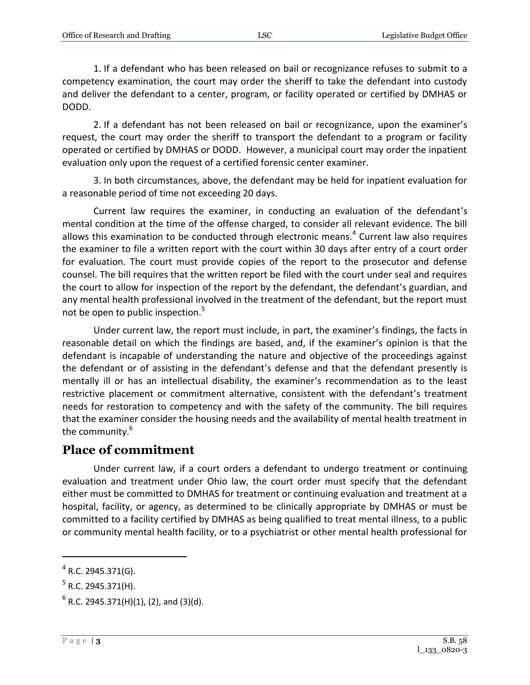1. If a defendant who has been released on bail or recognizance refuses to submit to a competency examination, the court may order the sheriff to take the defendant into custody and deliver the defendant to a center, program, or facility operated or certified by DMHAS or DODD.

2. If a defendant has not been released on bail or recognizance, upon the examiner's request, the court may order the sheriff to transport the defendant to a program or facility operated or certified by DMHAS or DODD. However, a municipal court may order the inpatient evaluation only upon the request of a certified forensic center examiner.

3. In both circumstances, above, the defendant may be held for inpatient evaluation for a reasonable period of time not exceeding 20 days.

Current law requires the examiner, in conducting an evaluation of the defendant's mental condition at the time of the offense charged, to consider all relevant evidence. The bill allows this examination to be conducted through electronic means. $<sup>4</sup>$  Current law also requires</sup> the examiner to file a written report with the court within 30 days after entry of a court order for evaluation. The court must provide copies of the report to the prosecutor and defense counsel. The bill requires that the written report be filed with the court under seal and requires the court to allow for inspection of the report by the defendant, the defendant's guardian, and any mental health professional involved in the treatment of the defendant, but the report must not be open to public inspection.<sup>5</sup>

Under current law, the report must include, in part, the examiner's findings, the facts in reasonable detail on which the findings are based, and, if the examiner's opinion is that the defendant is incapable of understanding the nature and objective of the proceedings against the defendant or of assisting in the defendant's defense and that the defendant presently is mentally ill or has an intellectual disability, the examiner's recommendation as to the least restrictive placement or commitment alternative, consistent with the defendant's treatment needs for restoration to competency and with the safety of the community. The bill requires that the examiner consider the housing needs and the availability of mental health treatment in the community.<sup>6</sup>

#### **Place of commitment**

Under current law, if a court orders a defendant to undergo treatment or continuing evaluation and treatment under Ohio law, the court order must specify that the defendant either must be committed to DMHAS for treatment or continuing evaluation and treatment at a hospital, facility, or agency, as determined to be clinically appropriate by DMHAS or must be committed to a facility certified by DMHAS as being qualified to treat mental illness, to a public or community mental health facility, or to a psychiatrist or other mental health professional for

 $4$  R.C. 2945.371(G).

 $^5$  R.C. 2945.371(H).

 $^6$  R.C. 2945.371(H)(1), (2), and (3)(d).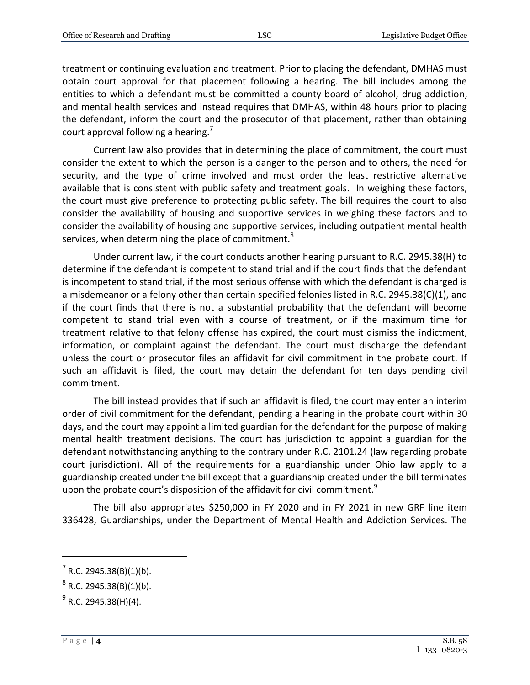treatment or continuing evaluation and treatment. Prior to placing the defendant, DMHAS must obtain court approval for that placement following a hearing. The bill includes among the entities to which a defendant must be committed a county board of alcohol, drug addiction, and mental health services and instead requires that DMHAS, within 48 hours prior to placing the defendant, inform the court and the prosecutor of that placement, rather than obtaining court approval following a hearing.<sup>7</sup>

Current law also provides that in determining the place of commitment, the court must consider the extent to which the person is a danger to the person and to others, the need for security, and the type of crime involved and must order the least restrictive alternative available that is consistent with public safety and treatment goals. In weighing these factors, the court must give preference to protecting public safety. The bill requires the court to also consider the availability of housing and supportive services in weighing these factors and to consider the availability of housing and supportive services, including outpatient mental health services, when determining the place of commitment.<sup>8</sup>

Under current law, if the court conducts another hearing pursuant to R.C. 2945.38(H) to determine if the defendant is competent to stand trial and if the court finds that the defendant is incompetent to stand trial, if the most serious offense with which the defendant is charged is a misdemeanor or a felony other than certain specified felonies listed in R.C. 2945.38(C)(1), and if the court finds that there is not a substantial probability that the defendant will become competent to stand trial even with a course of treatment, or if the maximum time for treatment relative to that felony offense has expired, the court must dismiss the indictment, information, or complaint against the defendant. The court must discharge the defendant unless the court or prosecutor files an affidavit for civil commitment in the probate court. If such an affidavit is filed, the court may detain the defendant for ten days pending civil commitment.

The bill instead provides that if such an affidavit is filed, the court may enter an interim order of civil commitment for the defendant, pending a hearing in the probate court within 30 days, and the court may appoint a limited guardian for the defendant for the purpose of making mental health treatment decisions. The court has jurisdiction to appoint a guardian for the defendant notwithstanding anything to the contrary under R.C. 2101.24 (law regarding probate court jurisdiction). All of the requirements for a guardianship under Ohio law apply to a guardianship created under the bill except that a guardianship created under the bill terminates upon the probate court's disposition of the affidavit for civil commitment.<sup>9</sup>

The bill also appropriates \$250,000 in FY 2020 and in FY 2021 in new GRF line item 336428, Guardianships, under the Department of Mental Health and Addiction Services. The

 $7$  R.C. 2945.38(B)(1)(b).

 $^8$  R.C. 2945.38(B)(1)(b).

<sup>&</sup>lt;sup>9</sup> R.C. 2945.38(H)(4).